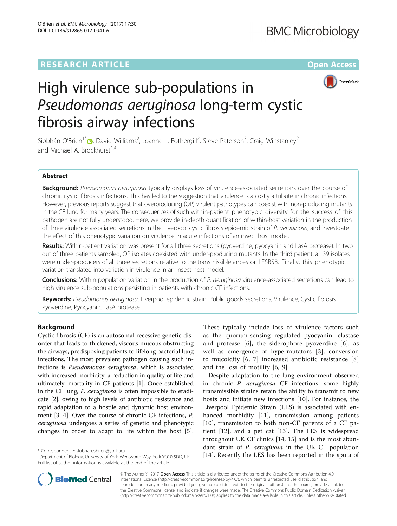# **RESEARCH ARTICLE Example 2018 12:00 Department 2018 12:00 Department 2018 12:00 Department 2018**



# High virulence sub-populations in Pseudomonas aeruginosa long-term cystic fibrosis airway infections

Siobhán O'Brien<sup>1[\\*](http://orcid.org/0000-0002-7588-6825)</sup> $\bigcirc$ , David Williams<sup>2</sup>, Joanne L. Fothergill<sup>2</sup>, Steve Paterson<sup>3</sup>, Craig Winstanley<sup>2</sup> and Michael A. Brockhurst<sup>1,4</sup>

## Abstract

Background: Pseudomonas aeruginosa typically displays loss of virulence-associated secretions over the course of chronic cystic fibrosis infections. This has led to the suggestion that virulence is a costly attribute in chronic infections. However, previous reports suggest that overproducing (OP) virulent pathotypes can coexist with non-producing mutants in the CF lung for many years. The consequences of such within-patient phenotypic diversity for the success of this pathogen are not fully understood. Here, we provide in-depth quantification of within-host variation in the production of three virulence associated secretions in the Liverpool cystic fibrosis epidemic strain of P. aeruginosa, and investgate the effect of this phenotypic variation on virulence in acute infections of an insect host model.

Results: Within-patient variation was present for all three secretions (pyoverdine, pyocyanin and LasA protease). In two out of three patients sampled, OP isolates coexisted with under-producing mutants. In the third patient, all 39 isolates were under-producers of all three secretions relative to the transmissible ancestor LESB58. Finally, this phenotypic variation translated into variation in virulence in an insect host model.

Conclusions: Within population variation in the production of P. aeruginosa virulence-associated secretions can lead to high virulence sub-populations persisting in patients with chronic CF infections.

Keywords: Pseudomonas aeruginosa, Liverpool epidemic strain, Public goods secretions, Virulence, Cystic fibrosis, Pyoverdine, Pyocyanin, LasA protease

## Background

Cystic fibrosis (CF) is an autosomal recessive genetic disorder that leads to thickened, viscous mucous obstructing the airways, predisposing patients to lifelong bacterial lung infections. The most prevalent pathogen causing such infections is Pseudomonas aeruginosa, which is associated with increased morbidity, a reduction in quality of life and ultimately, mortality in CF patients [[1\]](#page-6-0). Once established in the CF lung, P. aeruginosa is often impossible to eradicate [[2](#page-6-0)], owing to high levels of antibiotic resistance and rapid adaptation to a hostile and dynamic host environment [\[3](#page-6-0), [4](#page-6-0)]. Over the course of chronic CF infections, P. aeruginosa undergoes a series of genetic and phenotypic changes in order to adapt to life within the host [\[5](#page-6-0)].

These typically include loss of virulence factors such as the quorum-sensing regulated pyocyanin, elastase and protease [\[6\]](#page-6-0), the siderophore pyoverdine [[6](#page-6-0)], as well as emergence of hypermutators [[3\]](#page-6-0), conversion to mucoidity [[6, 7\]](#page-6-0) increased antibiotic resistance [\[8](#page-6-0)] and the loss of motility [\[6](#page-6-0), [9](#page-6-0)].

Despite adaptation to the lung environment observed in chronic P. aeruginosa CF infections, some highly transmissible strains retain the ability to transmit to new hosts and initiate new infections [[10\]](#page-6-0). For instance, the Liverpool Epidemic Strain (LES) is associated with en-hanced morbidity [[11\]](#page-6-0), transmission among patients [[10\]](#page-6-0), transmission to both non-CF parents of a CF patient [[12](#page-6-0)], and a pet cat [\[13\]](#page-7-0). The LES is widespread throughout UK CF clinics [[14, 15\]](#page-7-0) and is the most abundant strain of P. aeruginosa in the UK CF population \* Correspondence: siobhan.obrien@york.ac.uk entry york YO10 5DD.UK [[14\]](#page-7-0). Recently the LES has been reported in the sputa of \* Correspondence: [siobhan.obrien@york.ac.uk](mailto:siobhan.obrien@york.ac.uk) 1. The sputa of \* Correspondence: siobhan.obrien@york.



© The Author(s). 2017 **Open Access** This article is distributed under the terms of the Creative Commons Attribution 4.0 International License [\(http://creativecommons.org/licenses/by/4.0/](http://creativecommons.org/licenses/by/4.0/)), which permits unrestricted use, distribution, and reproduction in any medium, provided you give appropriate credit to the original author(s) and the source, provide a link to the Creative Commons license, and indicate if changes were made. The Creative Commons Public Domain Dedication waiver [\(http://creativecommons.org/publicdomain/zero/1.0/](http://creativecommons.org/publicdomain/zero/1.0/)) applies to the data made available in this article, unless otherwise stated.

<sup>&</sup>lt;sup>1</sup>Department of Biology, University of York, Wentworth Way, York YO10 5DD, UK Full list of author information is available at the end of the article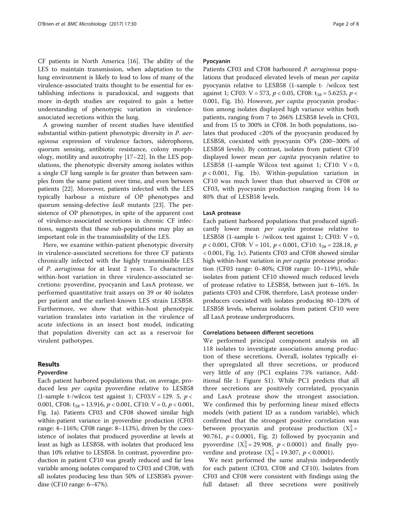CF patients in North America [[16\]](#page-7-0). The ability of the LES to maintain transmission, when adaptation to the lung environment is likely to lead to loss of many of the virulence-associated traits thought to be essential for establishing infections is paradoxical, and suggests that more in-depth studies are required to gain a better understanding of phenotypic variation in virulenceassociated secretions within the lung.

A growing number of recent studies have identified substantial within-patient phenotypic diversity in P. aeruginosa expression of virulence factors, siderophores, quorum sensing, antibiotic resistance, colony morphology, motility and auxotrophy [[17](#page-7-0)–[22\]](#page-7-0). In the LES populations, the phenotypic diversity among isolates within a single CF lung sample is far greater than between samples from the same patient over time, and even between patients [\[22](#page-7-0)]. Moreover, patients infected with the LES typically harbour a mixture of OP phenotypes and quorum sensing-defective lasR mutants [[23\]](#page-7-0). The persistence of OP phenotypes, in spite of the apparent cost of virulence-associated secretions in chronic CF infections, suggests that these sub-populations may play an important role in the transmissibility of the LES.

Here, we examine within-patient phenotypic diversity in virulence-associated secretions for three CF patients chronically infected with the highly transmissible LES of P. aeruginosa for at least 2 years. To characterize within-host variation in three virulence-associated secretions: pyoverdine, pyocyanin and LasA protease, we performed quantitative trait assays on 39 or 40 isolates per patient and the earliest-known LES strain LESB58. Furthermore, we show that within-host phenotypic variation translates into variation in the virulence of acute infections in an insect host model, indicating that population diversity can act as a reservoir for virulent pathotypes.

#### Results

#### Pyoverdine

Each patient harbored populations that, on average, produced less *per capita* pyoverdine relative to LESB58 (1-sample t-/wilcox test against 1; CF03:V = 129. 5,  $p <$ 0.001, CF08:  $t_{38} = 13.916$ ,  $p < 0.001$ , CF10: V = 0,  $p < 0.001$ , Fig. [1a](#page-2-0)). Patients CF03 and CF08 showed similar high within-patient variance in pyoverdine production (CF03 range: 4–116%; CF08 range: 8–113%), driven by the coexistence of isolates that produced pyoverdine at levels at least as high as LESB58, with isolates that produced less than 10% relative to LESB58. In contrast, pyoverdine production in patient CF10 was greatly reduced and far less variable among isolates compared to CF03 and CF08, with all isolates producing less than 50% of LESB58's pyoverdine (CF10 range: 6–47%).

#### Pyocyanin

Patients CF03 and CF08 harboured P. aeruginosa populations that produced elevated levels of mean per capita pyocyanin relative to LESB58 (1-sample t- /wilcox test against 1; CF03: V = 573,  $p < 0.05$ , CF08: t<sub>38</sub> = 5.6253,  $p <$ 0.001, Fig. [1b\)](#page-2-0). However, per capita pyocyanin production among isolates displayed high variance within both patients, ranging from 7 to 266% LESB58 levels in CF03, and from 15 to 300% in CF08. In both populations, isolates that produced <20% of the pyocyanin produced by LESB58, coexisted with pyocyanin OP's (200–300% of LESB58 levels). By contrast, isolates from patient CF10 displayed lower mean *per capita* pyocyanin relative to LESB58 (1-sample Wilcox test against 1; CF10:  $V = 0$ ,  $p < 0.001$ , Fig. [1b](#page-2-0)). Within-population variation in CF10 was much lower than that observed in CF08 or CF03, with pyocyanin production ranging from 14 to 80% that of LESB58 levels.

#### LasA protease

Each patient harbored populations that produced significantly lower mean per capita protease relative to LESB58 (1-sample t- /wilcox test against 1; CF03:  $V = 0$ ,  $p < 0.001$ , CF08: V = 101,  $p < 0.001$ , CF10: t<sub>38</sub> = 228.18, p < 0.001, Fig. [1c\)](#page-2-0). Patients CF03 and CF08 showed similar high within-host variation in *per capita* protease production (CF03 range: 0–80%; CF08 range: 10–119%), while isolates from patient CF10 showed much reduced levels of protease relative to LESB58, between just 6–16%. In patients CF03 and CF08, therefore, LasA protease underproducers coexisted with isolates producing 80–120% of LESB58 levels, whereas isolates from patient CF10 were all LasA protease underproducers.

#### Correlations between different secretions

We performed principal component analysis on all 118 isolates to investigate associations among production of these secretions. Overall, isolates typically either upregulated all three secretions, or produced very little of any (PC1 explains 73% variance, Additional file [1:](#page-6-0) Figure S1). While PC1 predicts that all three secretions are positively correlated, pyocyanin and LasA protease show the strongest association. We confirmed this by performing linear mixed effects models (with patient ID as a random variable), which confirmed that the strongest positive correlation was between pyocyanin and protease production  $(X_3^2 =$ 90.761,  $p < 0.0001$ , Fig. [2](#page-2-0)) followed by pyocyanin and pyoverdine  $(X_3^2 = 29.908, p < 0.0001)$  and finally pyoverdine and protease  $(X_3^2 = 19.307, p < 0.0001)$ .

We next performed the same analysis independently for each patient (CF03, CF08 and CF10). Isolates from CF03 and CF08 were consistent with findings using the full dataset: all three secretions were positively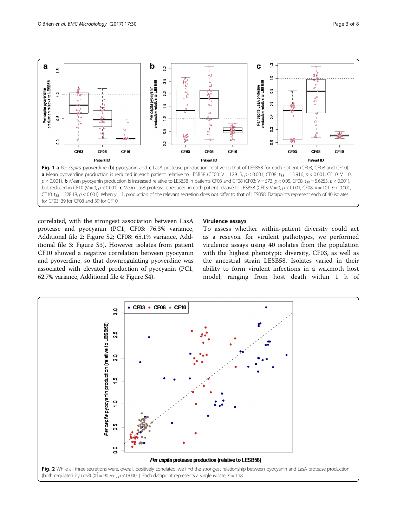<span id="page-2-0"></span>

for CF03, 39 for CF08 and 39 for CF10

correlated, with the strongest association between LasA protease and pyocyanin (PC1, CF03: 76.3% variance, Additional file [2](#page-6-0): Figure S2; CF08: 65.1% variance, Additional file [3](#page-6-0): Figure S3). However isolates from patient CF10 showed a negative correlation between pyocyanin and pyoverdine, so that downregulating pyoverdine was associated with elevated production of pyocyanin (PC1, 62.7% variance, Additional file [4:](#page-6-0) Figure S4).

#### Virulence assays

To assess whether within-patient diversity could act as a resevoir for virulent pathotypes, we performed virulence assays using 40 isolates from the population with the highest phenotypic diversity, CF03, as well as the ancestral strain LESB58. Isolates varied in their ability to form virulent infections in a waxmoth host model, ranging from host death within 1 h of

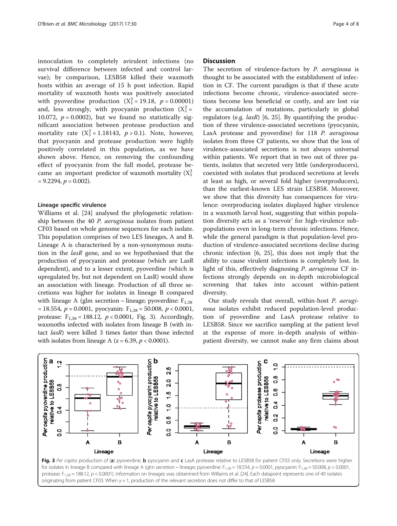innoculation to completely avirulent infections (no survival difference between infected and control larvae); by comparison, LESB58 killed their waxmoth hosts within an average of 15 h post infection. Rapid mortality of waxmoth hosts was positively associated with pyoverdine production  $(X_1^2 = 19.18, p = 0.00001)$ and, less strongly, with pyocyanin production  $(X_1^2 =$ 10.072,  $p = 0.0002$ , but we found no statistically significant association between protease production and mortality rate  $(X_1^2 = 1.18143, p > 0.1)$ . Note, however, that pyocyanin and protease production were highly positively correlated in this population, as we have shown above. Hence, on removing the confounding effect of pyocyanin from the full model, protease became an important predictor of waxmoth mortality ( $X_1^2$  $= 9.2294, p = 0.002$ ).

#### Lineage specific virulence

Williams et al. [\[24\]](#page-7-0) analysed the phylogenetic relationship between the 40 P. aeruginosa isolates from patient CF03 based on whole genome sequences for each isolate. This population comprises of two LES lineages, A and B. Lineage A is characterised by a non-synonymous mutation in the lasR gene, and so we hypothesised that the production of pyocyanin and protease (which are LasR dependent), and to a lesser extent, pyoverdine (which is upregulated by, but not dependent on LasR) would show an association with lineage. Production of all three secretions was higher for isolates in lineage B compared with lineage A (glm secretion  $\sim$  lineage; pyoverdine:  $F_{1,38}$  $= 18.554$ ,  $p = 0.0001$ , pyocyanin:  $F_{1,38} = 50.008$ ,  $p < 0.0001$ , protease:  $F_{1,38} = 188.12$ ,  $p < 0.0001$ , Fig. 3). Accordingly, waxmoths infected with isolates from lineage B (with intact lasR) were killed 3 times faster than those infected with isolates from lineage A ( $z = 6.39$ ,  $p < 0.0001$ ).

#### **Discussion**

The secretion of virulence-factors by P. aeruginosa is thought to be associated with the establishment of infection in CF. The current paradigm is that if these acute infections become chronic, virulence-associated secretions become less beneficial or costly, and are lost via the accumulation of mutations, particularly in global regulators (e.g.  $lasR$ ) [[6,](#page-6-0) [25](#page-7-0)]. By quantifying the production of three virulence-associated secretions (pyocyanin, LasA protease and pyoverdine) for 118 P. aeruginosa isolates from three CF patients, we show that the loss of virulence-associated secretions is not always universal within patients. We report that in two out of three patients, isolates that secreted very little (underproducers), coexisted with isolates that produced secretions at levels at least as high, or several fold higher (overproducers), than the earliest-known LES strain LESB58. Moreover, we show that this diversity has consequences for virulence: overproducing isolates displayed higher virulence in a waxmoth larval host, suggesting that within population diversity acts as a 'resevoir' for high-virulence subpopulations even in long-term chronic infections. Hence, while the general paradigm is that population-level production of virulence-associated secretions decline during chronic infection [\[6](#page-6-0), [25\]](#page-7-0), this does not imply that the ability to cause virulent infections is completely lost. In light of this, effectively diagnosing P. aeruginosa CF infections strongly depends on in-depth microbiological screening that takes into account within-patient diversity.

Our study reveals that overall, within-host P. aeruginosa isolates exhibit reduced population-level production of pyoverdine and LasA protease relative to LESB58. Since we sacrifice sampling at the patient level at the expense of more in-depth analysis of withinpatient diversity, we cannot make any firm claims about



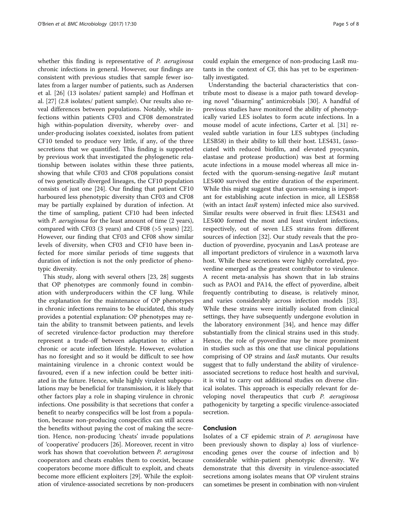whether this finding is representative of *P. aeruginosa* chronic infections in general. However, our findings are consistent with previous studies that sample fewer isolates from a larger number of patients, such as Andersen et al. [\[26](#page-7-0)] (13 isolates/ patient sample) and Hoffman et al. [[27\]](#page-7-0) (2.8 isolates/ patient sample). Our results also reveal differences between populations. Notably, while infections within patients CF03 and CF08 demonstrated high within-population diversity, whereby over- and under-producing isolates coexisted, isolates from patient CF10 tended to produce very little, if any, of the three secretions that we quantified. This finding is supported by previous work that investigated the phylogenetic relationship between isolates within these three patients, showing that while CF03 and CF08 populations consist of two genetically diverged lineages, the CF10 population consists of just one [[24\]](#page-7-0). Our finding that patient CF10 harboured less phenotypic diversity than CF03 and CF08 may be partially explained by duration of infection. At the time of sampling, patient CF10 had been infected with *P. aeruginosa* for the least amount of time (2 years), compared with CF03 (3 years) and CF08 (>5 years) [\[22](#page-7-0)]. However, our finding that CF03 and CF08 show similar levels of diversity, when CF03 and CF10 have been infected for more similar periods of time suggests that duration of infection is not the only predictor of phenotypic diversity.

This study, along with several others [[23, 28](#page-7-0)] suggests that OP phenotypes are commonly found in combination with underproducers within the CF lung. While the explanation for the maintenance of OP phenotypes in chronic infections remains to be elucidated, this study provides a potential explanation: OP phenotypes may retain the ability to transmit between patients, and levels of secreted virulence-factor production may therefore represent a trade-off between adaptation to either a chronic or acute infection lifestyle. However, evolution has no foresight and so it would be difficult to see how maintaining virulence in a chronic context would be favoured, even if a new infection could be better initiated in the future. Hence, while highly virulent subpopulations may be beneficial for transmission, it is likely that other factors play a role in shaping virulence in chronic infections. One possibility is that secretions that confer a benefit to nearby conspecifics will be lost from a population, because non-producing conspecifics can still access the benefits without paying the cost of making the secretion. Hence, non-producing 'cheats' invade populations of 'cooperative' producers [\[26\]](#page-7-0). Moreover, recent in vitro work has shown that coevolution between P. aeruginosa cooperators and cheats enables them to coexist, because cooperators become more difficult to exploit, and cheats become more efficient exploiters [[29\]](#page-7-0). While the exploitation of virulence-associated secretions by non-producers could explain the emergence of non-producing LasR mutants in the context of CF, this has yet to be experimentally investigated.

Understanding the bacterial characteristics that contribute most to disease is a major path toward developing novel "disarming" antimicrobials [[30\]](#page-7-0). A handful of previous studies have monitored the ability of phenotypically varied LES isolates to form acute infections. In a mouse model of acute infections, Carter et al. [[31](#page-7-0)] revealed subtle variation in four LES subtypes (including LESB58) in their ability to kill their host. LES431, (associated with reduced biofilm, and elevated pyocyanin, elastase and protease production) was best at forming acute infections in a mouse model whereas all mice infected with the quorum-sensing-negative lasR mutant LES400 survived the entire duration of the experiment. While this might suggest that quorum-sensing is important for establishing acute infection in mice, all LESB58 (with an intact lasR system) infected mice also survived. Similar results were observed in fruit flies: LES431 and LES400 formed the most and least virulent infections, respectively, out of seven LES strains from different sources of infection [[32\]](#page-7-0). Our study reveals that the production of pyoverdine, pyocyanin and LasA protease are all important predictors of virulence in a waxmoth larva host. While these secretions were highly correlated, pyoverdine emerged as the greatest contributor to virulence. A recent meta-analysis has shown that in lab strains such as PAO1 and PA14, the effect of pyoverdine, albeit frequently contributing to disease, is relatively minor, and varies considerably across infection models [\[33](#page-7-0)]. While these strains were initially isolated from clinical settings, they have subsequently undergone evolution in the laboratory environment [\[34\]](#page-7-0), and hence may differ substantially from the clinical strains used in this study. Hence, the role of pyoverdine may be more prominent in studies such as this one that use clinical populations comprising of OP strains and lasR mutants. Our results suggest that to fully understand the ability of virulenceassociated secretions to reduce host health and survival, it is vital to carry out additional studies on diverse clinical isolates. This approach is especially relevant for developing novel therapeutics that curb P. aeruginosa pathogenicity by targeting a specific virulence-associated secretion.

# Conclusion

Isolates of a CF epidemic strain of P. aeruginosa have been previously shown to display a) loss of viurlenceencoding genes over the course of infection and b) considerable within-patient phenotypic diversity. We demonstrate that this diversity in virulence-associated secretions among isolates means that OP virulent strains can sometimes be present in combination with non-virulent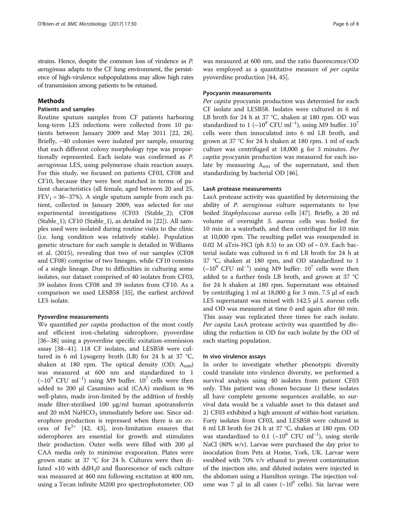strains. Hence, despite the common loss of virulence as P. aeruginosa adapts to the CF lung environment, the persistence of high-virulence subpopulations may allow high rates of transmission among patients to be retained.

#### Methods

#### Patients and samples

Routine sputum samples from CF patients harboring long-term LES infections were collected from 10 patients between January 2009 and May 2011 [[22, 28](#page-7-0)]. Briefly, ~40 colonies were isolated per sample, ensuring that each different colony morphology type was proportionally represented. Each isolate was confirmed as P. aeruginosa LES, using polymerase chain reaction assays. For this study, we focused on patients CF03, CF08 and CF10, because they were best matched in terms of patient characteristics (all female, aged between 20 and 25,  $FEV_1 = 36-37\%$ ). A single sputum sample from each patient, collected in January 2009, was selected for our experimental investigations (CF03 (Stable\_2); CF08 (Stable\_1); CF10 (Stable\_1), as detailed in [[22\]](#page-7-0)). All samples used were isolated during routine visits to the clinic (i.e. lung condition was relatively stable). Population genetic structure for each sample is detailed in Williams et al. (2015), revealing that two of our samples (CF08 and CF08) comprise of two lineages, while CF10 consists of a single lineage. Due to difficulties in culturing some isolates, our dataset comprised of 40 isolates from CF03, 39 isolates from CF08 and 39 isolates from CF10. As a comparison we used LESB58 [\[35](#page-7-0)], the earliest archived LES isolate.

#### Pyoverdine measurements

We quantified *per capita* production of the most costly and efficient iron-chelating siderophore, pyoverdine [[36](#page-7-0)–[38](#page-7-0)] using a pyoverdine specific exitation-emmission assay [\[38](#page-7-0)–[41](#page-7-0)]. 118 CF isolates, and LESB58 were cultured in 6 ml Lysogeny broth (LB) for 24 h at 37 °C, shaken at 180 rpm. The optical density (OD;  $A_{600}$ ) was measured at 600 nm and standardized to 1  $({\sim}10^{9}$  CFU ml<sup>-1</sup>) using M9 buffer.  $10^{7}$  cells were then added to 200 μl Casamino acid (CAA) medium in 96 well-plates, made iron-limited by the addition of freshly made filter-sterilised 100 μg/ml human apotransferrin and 20 mM  $NaHCO<sub>3</sub>$  immediately before use. Since siderophore production is repressed when there is an excess of  $Fe^{2+}$  [\[42](#page-7-0), [43\]](#page-7-0), iron-limitation ensures that siderophores are essential for growth and stimulates their production. Outer wells were filled with 200 μl CAA media only to minimise evaporation. Plates were grown static at 37 °C for 24 h. Cultures were then diluted  $\times$ 10 with ddH<sub>2</sub>0 and fluorescence of each culture was measured at 460 nm following excitation at 400 nm, using a Tecan infinite M200 pro spectrophotometer. OD was measured at 600 nm, and the ratio fluorescence/OD was employed as a quantitative measure of *per capita* pyoverdine production [[44, 45\]](#page-7-0).

#### Pyocyanin measurements

Per capita pyocyanin production was determied for each CF isolate and LESB58. Isolates were cultured in 6 ml LB broth for 24 h at 37 °C, shaken at 180 rpm. OD was standardized to 1 (~10<sup>9</sup> CFU ml<sup>-1</sup>), using M9 buffer.  $10^7$ cells were then innoculated into 6 ml LB broth, and grown at 37 °C for 24 h shaken at 180 rpm. 1 ml of each culture was centrifuged at 18,000 g for 3 minutes. Per capita pyocyanin production was measured for each isolate by measuring  $A_{691}$  of the supernatant, and then standardizing by bacterial OD [\[46](#page-7-0)].

#### LasA protease measurements

LasA protease activity was quantified by determining the ability of P. aeruginosa culture supernatants to lyse boiled Staphyloccous aureus cells [\[47](#page-7-0)]. Briefly, a 20 ml volume of overnight S. aureus cells was boiled for 10 min in a waterbath, and then centrifuged for 10 min at 10,000 rpm. The resulting pellet was resuspended in 0.02 M aTris-HCl (ph 8.5) to an OD of  $\sim$  0.9. Each bacterial isolate was cultured in 6 ml LB broth for 24 h at 37 °C, shaken at 180 rpm, and OD standardized to 1 (~10<sup>9</sup> CFU ml<sup>-1</sup>) using M9 buffer. 10<sup>7</sup> cells were then added to a further 6mls LB broth, and grown at 37 °C for 24 h shaken at 180 rpm. Supernatant was obtained by centrifuging 1 ml at 18,000 g for 3 min. 7.5 μl of each LES supernatant was mixed with 142.5 μl S. aureus cells and OD was measured at time 0 and again after 60 min. This assay was replicated three times for each isolate. Per capita LasA protease activity was quantified by dividing the reduction in OD for each isolate by the OD of each starting population.

#### In vivo virulence assays

In order to investigate whether phenotypic diversity could translate into virulence diversity, we performed a survival analysis using 40 isolates from patient CF03 only. This patient was chosen because 1) these isolates all have complete genome sequences available, so survival data would be a valuable asset to this dataset and 2) CF03 exhibited a high amount of within-host variation. Forty isolates from CF03, and LESB58 were cultured in 6 ml LB broth for 24 h at 37 °C, shaken at 180 rpm. OD was standardized to 0.1 (~ $10^8$  CFU ml<sup>-1</sup>), using sterile NaCl (80% w/v). Larvae were purchased the day prior to inoculation from Pets at Home, York, UK. Larvae were swabbed with 70% v/v ethanol to prevent contamination of the injection site, and diluted isolates were injected in the abdomen using a Hamilton syringe. The injection volume was 7 μl in all cases ( $\sim$ 10<sup>6</sup> cells). Six larvae were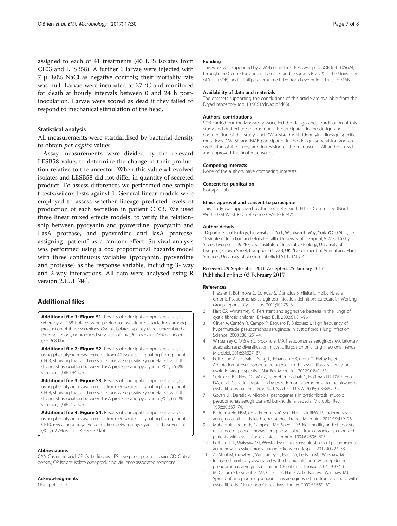<span id="page-6-0"></span>assigned to each of 41 treatments (40 LES isolates from CF03 and LESB58). A further 6 larvae were injected with 7 μl 80% NaCl as negative controls; their mortality rate was null. Larvae were incubated at 37 °C and monitored for death at hourly intervals between 0 and 24 h postinoculation. Larvae were scored as dead if they failed to respond to mechanical stimulation of the head.

#### Statistical analysis

All measurements were standardised by bacterial density to obtain per capita values.

Assay measurements were divided by the relevant LESB58 value, to determine the change in their production relative to the ancestor. When this value =1 evolved isolates and LESB58 did not differ in quantity of secreted product. To assess differences we performed one-sample t-tests/wilcox tests against 1. General linear models were employed to assess whether lineage predicted levels of production of each secretion in patient CF03. We used three linear mixed effects models, to verify the relationship between pyocyanin and pyoverdine, pyocyanin and LasA protease, and pyoverdine and lasA protease, assigning "patient" as a random effect. Survival analysis was performed using a cox proportional hazards model with three continuous variables (pyocyanin, pyoverdine and protease) as the response variable, including 3- way and 2-way interactions. All data were analysed using R version 2.15.1 [\[48\]](#page-7-0).

# Additional files

[Additional file 1: Figure S1.](dx.doi.org/10.1186/s12866-017-0941-6) Results of principal component analysis whereby all 188 isolates were pooled to investigate associations among production of these secretions. Overall, isolates typically either upregulated all three secretions, or produced very little of any (PC1 explains 73% variance). (GIF 368 kb)

[Additional file 2: Figure S2.](dx.doi.org/10.1186/s12866-017-0941-6) Results of principal component analysis using phenotypic measurements from 40 isolates originating from patient CF03, showing that all three secretions were positively correlated, with the strongest association between LasA protease and pyocyanin (PC1, 76.3% variance). (GIF 194 kb)

[Additional file 3: Figure S3.](dx.doi.org/10.1186/s12866-017-0941-6) Results of principal component analysis using phenotypic measurements from 39 isolates originating from patient CF08, showing that all three secretions were positively correlated, with the strongest association between LasA protease and pyocyanin (PC1, 65.1% variance). (GIF 212 kb)

[Additional file 4: Figure S4.](dx.doi.org/10.1186/s12866-017-0941-6) Results of principal component analysis using phenotypic measurements from 39 isolates originating from patient CF10, revealing a negative correlation between pyocyanin and pyoverdine (PC1, 62.7% variance). (GIF 79 kb)

#### Abbreviations

CAA: Casamino acid; CF: Cystic fibrosis; LES: Liverpool epidemic strain; OD: Optical density; OP Isolate: Isolate over-producing virulence associated secretions

#### Acknowledgments

Not applicable.

#### Funding

This work was supported by a Wellcome Trust Fellowship to SOB (ref: 105624) through the Centre for Chronic Diseases and Disorders (C2D2) at the University of York (SOB), and a Philip Leverhulme Prize from Leverhulme Trust to MAB.

#### Availability of data and materials

The datasets supporting the conclusions of this article are available from the Dryad repository (doi:[10.5061/dryad.p7d03](http://dx.doi.org/10.5061/dryad.p7d03)).

#### Authors' contributions

SOB carried out the laboratory work, led the design and coordination of this study and drafted the manuscript. JLF participated in the design and coordination of this study, and DW assisted with identifying lineage-specific mutations. CW, SP and MAB participated in the design, supervision and coordination of the study, and in revision of the manuscript. All authors read and approved the final manuscript.

#### Competing interests

None of the authors have competing interests.

#### Consent for publication

Not applicable.

#### Ethics approval and consent to participate

This study was approved by the Local Research Ethics Committee (North West - GM West REC reference 08/H1006/47).

#### Author details

<sup>1</sup>Department of Biology, University of York, Wentworth Way, York YO10 5DD, UK <sup>2</sup>Institute of Infection and Global Health, University of Liverpool, 8 West Derby Street, Liverpool L69 7B3, UK. <sup>3</sup>Institute of Integrative Biology, University of Liverpool, Crown Street, Liverpool L69 7ZB, UK.<sup>4</sup> Department of Animal and Plant Sciences, University of Sheffield, Sheffield S10 2TN, UK.

#### Received: 29 September 2016 Accepted: 25 January 2017 Published online: 03 February 2017

#### References

- 1. Pressler T, Bohmova C, Conway S, Dumcius S, Hjelte L, Høiby N, et al. Chronic Pseudomonas aeruginosa infection definition: EuroCareCF Working Group report. J Cyst Fibros. 2011;10:S75–8.
- 2. Hart CA, Winstanley C. Persistent and aggressive bacteria in the lungs of cystic fibrosis children. Br Med Bull. 2002;61:81–96.
- 3. Oliver A, Cantón R, Campo P, Baquero F, Blázquez J. High frequency of hypermutable pseudomonas aeruginosa in cystic fibrosis lung infection. Science. 2000;288:1251–4.
- 4. Winstanley C, O'Brien S, Brockhurst MA. Pseudomonas aeruginosa evolutionary adaptation and diversification in cystic fibrosis chronic lung infections. Trends Microbiol. 2016;24:327–37.
- 5. Folkesson A, Jelsbak L, Yang L, Johansen HK, Ciofu O, Høiby N, et al. Adaptation of pseudomonas aeruginosa to the cystic fibrosis airway: an evolutionary perspective. Nat Rev Microbiol. 2012;10:841–51.
- 6. Smith EE, Buckley DG, Wu Z, Saenphimmachak C, Hoffman LR, D'Argenio DA, et al. Genetic adaptation by pseudomonas aeruginosa to the airways of cystic fibrosis patients. Proc Natl Acad Sci U S A. 2006;103:8487–92.
- 7. Govan JR, Deretic V. Microbial pathogenesis in cystic fibrosis: mucoid pseudomonas aeruginosa and burkholderia cepacia. Microbiol Rev. 1996;60:539–74.
- 8. Breidenstein EBM, de la Fuente-Núñez C, Hancock REW. Pseudomonas aeruginosa: all roads lead to resistance. Trends Microbiol. 2011;19:419–26.
- 9. Mahenthiralingam E, Campbell ME, Speert DP. Nonmotility and phagocytic resistance of pseudomonas aeruginosa isolates from chronically colonized patients with cystic fibrosis. Infect Immun. 1994;62:596–605.
- 10. Fothergill JL, Walshaw MJ, Winstanley C. Transmissible strains of pseudomonas aeruginosa in cystic fibrosis lung infections. Eur Respir J. 2012;40:227–38.
- 11. Al-Aloul M, Crawley J, Winstanley C, Hart CA, Ledson MJ, Walshaw MJ. Increased morbidity associated with chronic infection by an epidemic pseudomonas aeruginosa strain in CF patients. Thorax. 2004;59:334–6.
- 12. McCallum SJ, Gallagher MJ, Corkill JE, Hart CA, Ledson MJ, Walshaw MJ. Spread of an epidemic pseudomonas aeruginosa strain from a patient with cystic fibrosis (CF) to non-CF relatives. Thorax. 2002;57:559–60.